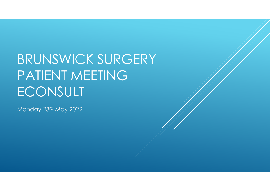# BRUNSWICK SURGERY PATIENT MEETING**ECONSULT**

Monday 23rd May 2022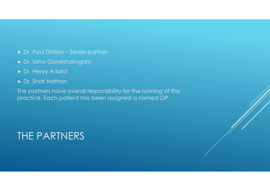- Dr. Paul Dhillon Senior partner
- Dr. Usha Ganeshalingam
- ▶ Dr. Henry Attard
- Dr. Shali Nathan

The partners have overall responsibility for the running of the practice. Each patient has been assigned a named GP.

### THE PARTNERS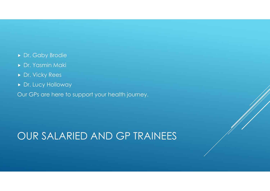- Dr. Gaby Brodie
- Dr. Yasmin Maki
- ▶ Dr. Vicky Rees
- Dr. Lucy Holloway

Our GPs are here to support your health journey.

### OUR SALARIED AND GP TRAINEES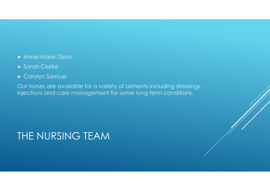- Anne-Marie Dixon
- Sarah Clarke
- Carolyn Samuel

Our nurses are available for a variety of ailments including dressings, injections and care management for some long term conditions.

#### THE NURSING TEAM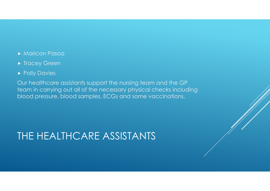- Maricon Pasoa
- **Firacey Green**
- **Polly Davies**

Our healthcare assistants support the nursing team and the GP team in carrying out all of the necessary physical checks including blood pressure, blood samples, ECGs and some vaccinations.

## THE HEALTHCARE ASSISTANTS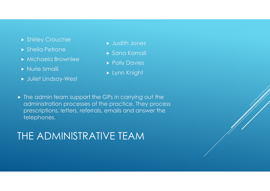- **Shirley Croucher**
- **Sheila Petrone**
- Michaela Brownlee
- **Nurie Ismaili**
- Juliet Lindsay-West
- Judith Jones
- Sana Kamall
- **Polly Davies**
- Lynn Knight
- The admin team support the GPs in carrying out the administration processes of the practice. They process prescriptions, letters, referrals, emails and answer the telephones.

#### THE ADMINISTRATIVE TEAM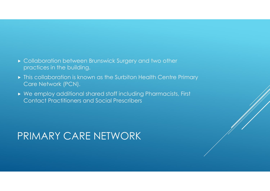- Collaboration between Brunswick Surgery and two other practices in the building.
- This collaboration is known as the Surbiton Health Centre Primary Care Network (PCN).
- ▶ We employ additional shared staff including Pharmacists, First Contact Practitioners and Social Prescribers

#### PRIMARY CARE NETWORK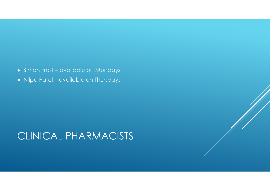- Simon Frost available on Mondays
- $\blacktriangleright$  Nilpa Patel available on Thursdays

#### CLINICAL PHARMACISTS

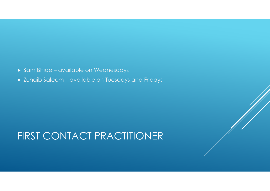- $\blacktriangleright$  Sam Bhide available on Wednesdays
- Zuhaib Saleem available on Tuesdays and Fridays

### FIRST CONTACT PRACTITIONER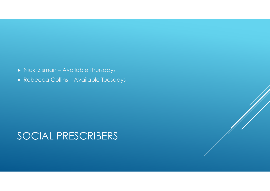- Nicki Zisman Available Thursdays
- Rebecca Collins Available Tuesdays

#### SOCIAL PRESCRIBERS

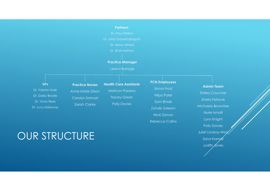#### Dr. Shali Nathan GPsDr. Yasmin Maki Dr. Gaby Brodie Practice ManagerLeana BurragePractice NursesAnne-Marie Dixon Carolyn SamuelHealth Care AssistantsMaricon PasaoaTracey GreenPCN EmployeesSimon FrostNilpa Patel

Polly Davies

Sam BhideZuhaib Saleem

Nicki Zisman

Rebecca Collins

Partners:

### OUR STRUCTURE

Sarah Clarke

Dr. Vicky Rees Dr. Lucy Holloway

Shirley CroucherSheila PetroneMichaela BrownleeNurie IsmailiLynn KnightPolly DaviesJuliet Lindsay-West Sana KamallJudith Jones

Admin Team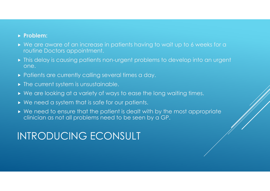#### ▶ Problem:

- ▶ We are aware of an increase in patients having to wait up to 6 weeks for a routine Doctors appointment.
- This delay is causing patients non-urgent problems to develop into an urgent one.
- $\blacktriangleright$  Patients are currently calling several times a day.
- The current system is unsustainable.
- ▶ We are looking at a variety of ways to ease the long waiting times.
- ► We need a system that is safe for our patients.
- $\triangleright$  We need to ensure that the patient is dealt with by the most appropriate clinician as not all problems pood to be seen by a CP clinician as not all problems need to be seen by a GP.

#### INTRODUCING ECONSULT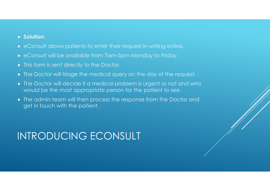#### ▶ Solution:

- eConsult allows patients to enter their request in writing online.
- eConsult will be available from 7am-5pm Monday to Friday.
- $\blacktriangleright$  This form is sent directly to the Doctor.
- $\blacktriangleright$  The Doctor will triage the medical query on the day of the request.
- The Doctor will decide if a medical problem is urgent or not and who would be the most appropriate person for the patient to see.
- The admin team will then process the response from the Doctor and  $\bullet$ get in touch with the patient.

### INTRODUCING ECONSULT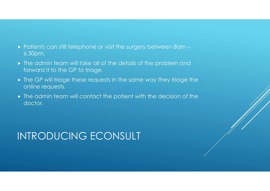- Patients can still telephone or visit the surgery between 8am 6.30pm.
- The admin team will take all of the details of the problem and forward it to the GP to triage.
- The GP will triage these requests in the same way they triage the online requests.
- The admin team will contact the patient with the decision of the doctor.

# INTRODUCING ECONSULT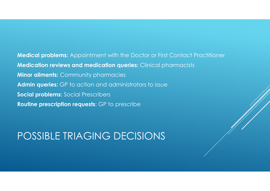Medical problems: Appointment with the Doctor or First Contact Practitioner**Medication reviews and medication queries:** Clinical pharmacists **Minor ailments: Community pharmacies** Admin queries: GP to action and administrators to issue **Social problems: Social Prescribers** Routine prescription requests: GP to prescribe

#### POSSIBLE TRIAGING DECISIONS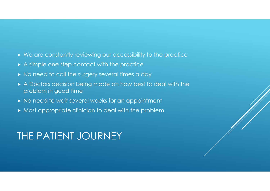- We are constantly reviewing our accessibility to the practice
- A simple one step contact with the practice
- $\blacktriangleright$  No need to call the surgery several times a day
- A Doctors decision being made on how best to deal with the problem in good time
- $\blacktriangleright$  No need to wait several weeks for an appointment
- Most appropriate clinician to deal with the problem

#### THE PATIENT JOURNEY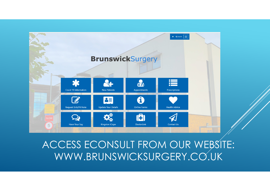

### ACCESS ECONSULT FROM OUR WEBSITE: WWW.BRUNSWICKSURGERY.CO.UK